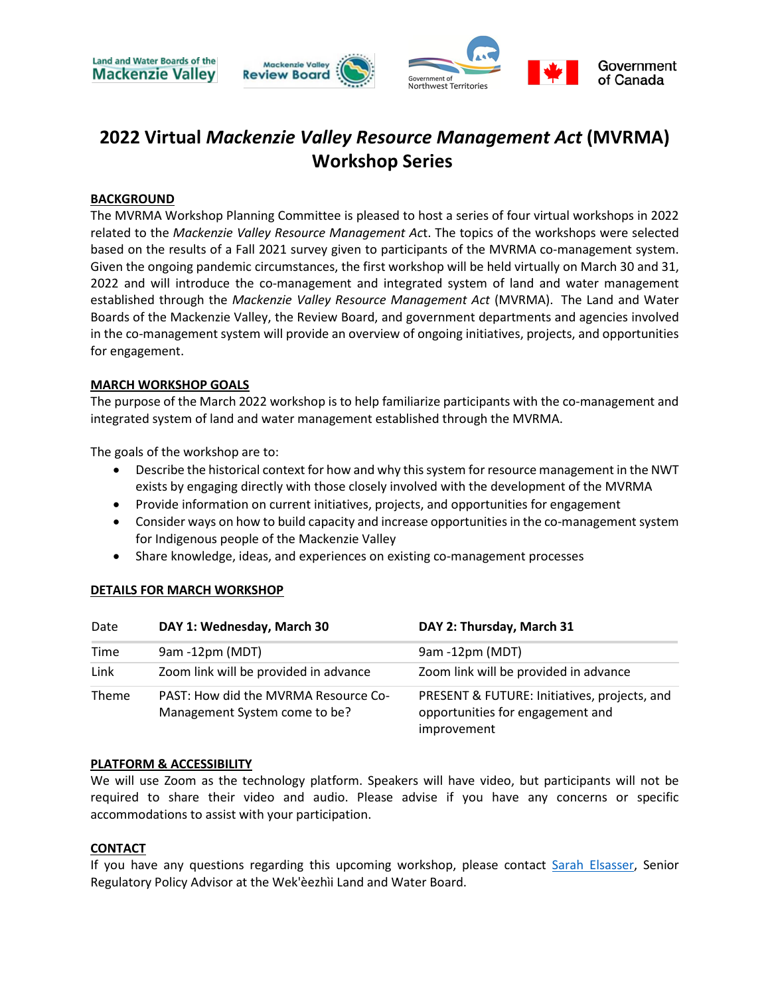

## **2022 Virtual** *Mackenzie Valley Resource Management Act* **(MVRMA) Workshop Series**

#### **BACKGROUND**

The MVRMA Workshop Planning Committee is pleased to host a series of four virtual workshops in 2022 related to the *Mackenzie Valley Resource Management Ac*t. The topics of the workshops were selected based on the results of a Fall 2021 survey given to participants of the MVRMA co-management system. Given the ongoing pandemic circumstances, the first workshop will be held virtually on March 30 and 31, 2022 and will introduce the co-management and integrated system of land and water management established through the *Mackenzie Valley Resource Management Act* (MVRMA). The Land and Water Boards of the Mackenzie Valley, the Review Board, and government departments and agencies involved in the co-management system will provide an overview of ongoing initiatives, projects, and opportunities for engagement.

#### **MARCH WORKSHOP GOALS**

The purpose of the March 2022 workshop is to help familiarize participants with the co-management and integrated system of land and water management established through the MVRMA.

The goals of the workshop are to:

- Describe the historical context for how and why this system for resource management in the NWT exists by engaging directly with those closely involved with the development of the MVRMA
- Provide information on current initiatives, projects, and opportunities for engagement
- Consider ways on how to build capacity and increase opportunities in the co-management system for Indigenous people of the Mackenzie Valley
- Share knowledge, ideas, and experiences on existing co-management processes

# **DETAILS FOR MARCH WORKSHOP**

| Date         | DAY 1: Wednesday, March 30                                            | DAY 2: Thursday, March 31                                                                       |
|--------------|-----------------------------------------------------------------------|-------------------------------------------------------------------------------------------------|
| Time         | 9am -12pm (MDT)                                                       | 9am -12pm (MDT)                                                                                 |
| Link         | Zoom link will be provided in advance                                 | Zoom link will be provided in advance                                                           |
| <b>Theme</b> | PAST: How did the MVRMA Resource Co-<br>Management System come to be? | PRESENT & FUTURE: Initiatives, projects, and<br>opportunities for engagement and<br>improvement |

#### **PLATFORM & ACCESSIBILITY**

We will use Zoom as the technology platform. Speakers will have video, but participants will not be required to share their video and audio. Please advise if you have any concerns or specific accommodations to assist with your participation.

#### **CONTACT**

If you have any questions regarding this upcoming workshop, please contact [Sarah Elsasser,](mailto:selsasser@wlwb.ca) Senior Regulatory Policy Advisor at the Wek'èezhìi Land and Water Board.